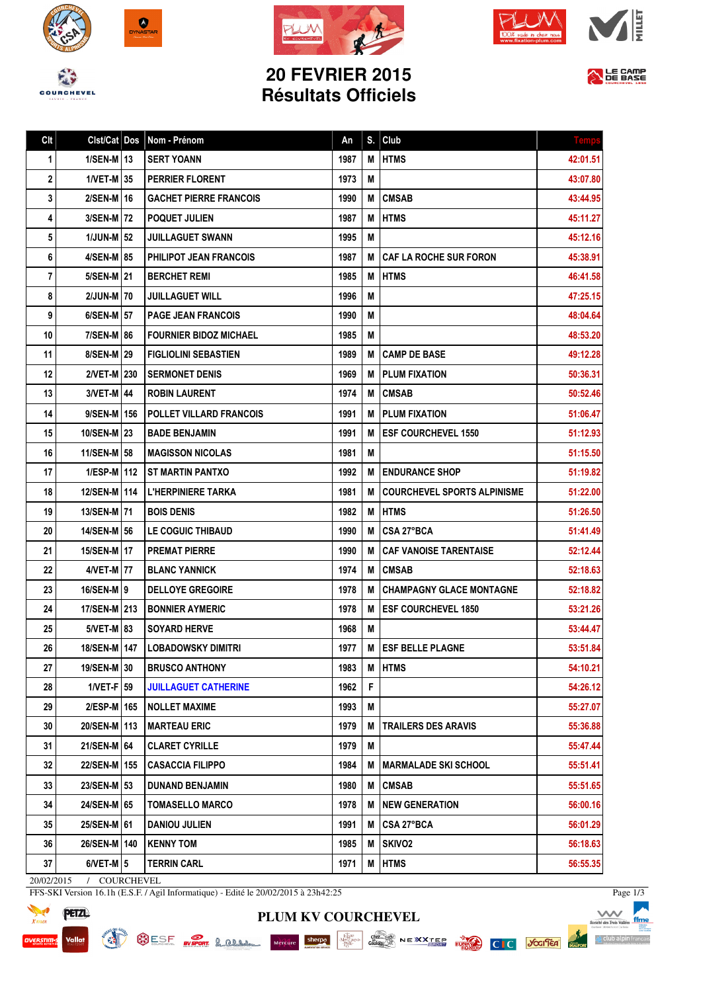







## **20 FEVRIER 2015 Résultats Officiels**



| Clt | Clst/Cat Dos    | Nom - Prénom                   | An   | S. | Club                               | <b>Temp</b> |
|-----|-----------------|--------------------------------|------|----|------------------------------------|-------------|
| 1   | $1/SEM$ -M $13$ | <b>SERT YOANN</b>              | 1987 | М  | <b>HTMS</b>                        | 42:01.51    |
| 2   | $1/VET-M$ 35    | <b>PERRIER FLORENT</b>         | 1973 | M  |                                    | 43:07.80    |
| 3   | 2/SEN-M   16    | <b>GACHET PIERRE FRANCOIS</b>  | 1990 | M  | <b>CMSAB</b>                       | 43:44.95    |
| 4   | 3/SEN-M 72      | <b>POQUET JULIEN</b>           | 1987 | M  | <b>HTMS</b>                        | 45:11.27    |
| 5   | $1/JUN-M$ 52    | <b>JUILLAGUET SWANN</b>        | 1995 | М  |                                    | 45:12.16    |
| 6   | 4/SEN-M 85      | <b>PHILIPOT JEAN FRANCOIS</b>  | 1987 | М  | <b>CAF LA ROCHE SUR FORON</b>      | 45:38.91    |
| 7   | 5/SEN-M 21      | <b>BERCHET REMI</b>            | 1985 | М  | <b>HTMS</b>                        | 46:41.58    |
| 8   | 2/JUN-M 70      | <b>JUILLAGUET WILL</b>         | 1996 | Μ  |                                    | 47:25.15    |
| 9   | $6/SEM-M$ 57    | <b>PAGE JEAN FRANCOIS</b>      | 1990 | М  |                                    | 48:04.64    |
| 10  | 7/SEN-M 86      | <b>FOURNIER BIDOZ MICHAEL</b>  | 1985 | M  |                                    | 48:53.20    |
| 11  | 8/SEN-M 29      | <b>FIGLIOLINI SEBASTIEN</b>    | 1989 | M  | <b>CAMP DE BASE</b>                | 49:12.28    |
| 12  | 2/VET-M 230     | <b>SERMONET DENIS</b>          | 1969 | М  | <b>PLUM FIXATION</b>               | 50:36.31    |
| 13  | 3/VET-M   44    | <b>ROBIN LAURENT</b>           | 1974 | M  | <b>CMSAB</b>                       | 50:52.46    |
| 14  | 9/SEN-M   156   | <b>POLLET VILLARD FRANCOIS</b> | 1991 | М  | <b>PLUM FIXATION</b>               | 51:06.47    |
| 15  | 10/SEN-M 23     | <b>BADE BENJAMIN</b>           | 1991 | М  | <b>IESF COURCHEVEL 1550</b>        | 51:12.93    |
| 16  | 11/SEN-M 58     | <b>MAGISSON NICOLAS</b>        | 1981 | M  |                                    | 51:15.50    |
| 17  | 1/ESP-M   112   | <b>IST MARTIN PANTXO</b>       | 1992 | M  | <b>ENDURANCE SHOP</b>              | 51:19.82    |
| 18  | 12/SEN-M 114    | <b>L'HERPINIERE TARKA</b>      | 1981 | М  | <b>COURCHEVEL SPORTS ALPINISME</b> | 51:22.00    |
| 19  | 13/SEN-M   71   | <b>BOIS DENIS</b>              | 1982 | М  | <b>HTMS</b>                        | 51:26.50    |
| 20  | 14/SEN-M 56     | LE COGUIC THIBAUD              | 1990 | М  | CSA 27°BCA                         | 51:41.49    |
| 21  | 15/SEN-M   17   | <b>PREMAT PIERRE</b>           | 1990 | М  | <b>CAF VANOISE TARENTAISE</b>      | 52:12.44    |
| 22  | 4/VET-M   77    | <b>BLANC YANNICK</b>           | 1974 | М  | <b>CMSAB</b>                       | 52:18.63    |
| 23  | 16/SEN-M   9    | <b>DELLOYE GREGOIRE</b>        | 1978 | M  | <b>CHAMPAGNY GLACE MONTAGNE</b>    | 52:18.82    |
| 24  | 17/SEN-M   213  | <b>BONNIER AYMERIC</b>         | 1978 | М  | <b>ESF COURCHEVEL 1850</b>         | 53:21.26    |
| 25  | 5/VET-M   83    | <b>SOYARD HERVE</b>            | 1968 | Μ  |                                    | 53:44.47    |
| 26  | 18/SEN-M   147  | LOBADOWSKY DIMITRI             | 1977 |    | M   ESF BELLE PLAGNE               | 53:51.84    |
| 27  | 19/SEN-M 30     | <b>BRUSCO ANTHONY</b>          | 1983 | Μ  | <b>HTMS</b>                        | 54:10.21    |
| 28  | $1/VET-F$ 59    | <b>JUILLAGUET CATHERINE</b>    | 1962 | F  |                                    | 54:26.12    |
| 29  | 2/ESP-M 165     | <b>NOLLET MAXIME</b>           | 1993 | M  |                                    | 55:27.07    |
| 30  | 20/SEN-M   113  | <b>MARTEAU ERIC</b>            | 1979 | M  | <b>TRAILERS DES ARAVIS</b>         | 55:36.88    |
| 31  | 21/SEN-M 64     | <b>CLARET CYRILLE</b>          | 1979 | M  |                                    | 55:47.44    |
| 32  | 22/SEN-M   155  | <b>CASACCIA FILIPPO</b>        | 1984 | M  | MARMALADE SKI SCHOOL               | 55:51.41    |
| 33  | 23/SEN-M 53     | <b>DUNAND BENJAMIN</b>         | 1980 | Μ  | <b>CMSAB</b>                       | 55:51.65    |
| 34  | 24/SEN-M 65     | <b>TOMASELLO MARCO</b>         | 1978 | M  | <b>NEW GENERATION</b>              | 56:00.16    |
| 35  | 25/SEN-M 61     | <b>DANIOU JULIEN</b>           | 1991 | M  | CSA 27°BCA                         | 56:01.29    |
| 36  | 26/SEN-M   140  | <b>KENNY TOM</b>               | 1985 | Μ  | SKIVO <sub>2</sub>                 | 56:18.63    |
| 37  | $6/NET-M$ 5     | <b>TERRIN CARL</b>             | 1971 | M  | <b>HTMS</b>                        | 56:55.35    |

**PLUM KV COURCHEVEL**

20/02/2015 / COURCHEVEL

SURFAIN OF SHING

FFS-SKI Version 16.1h (E.S.F. / Agil Informatique) - Edité le 20/02/2015 à 23h42:25



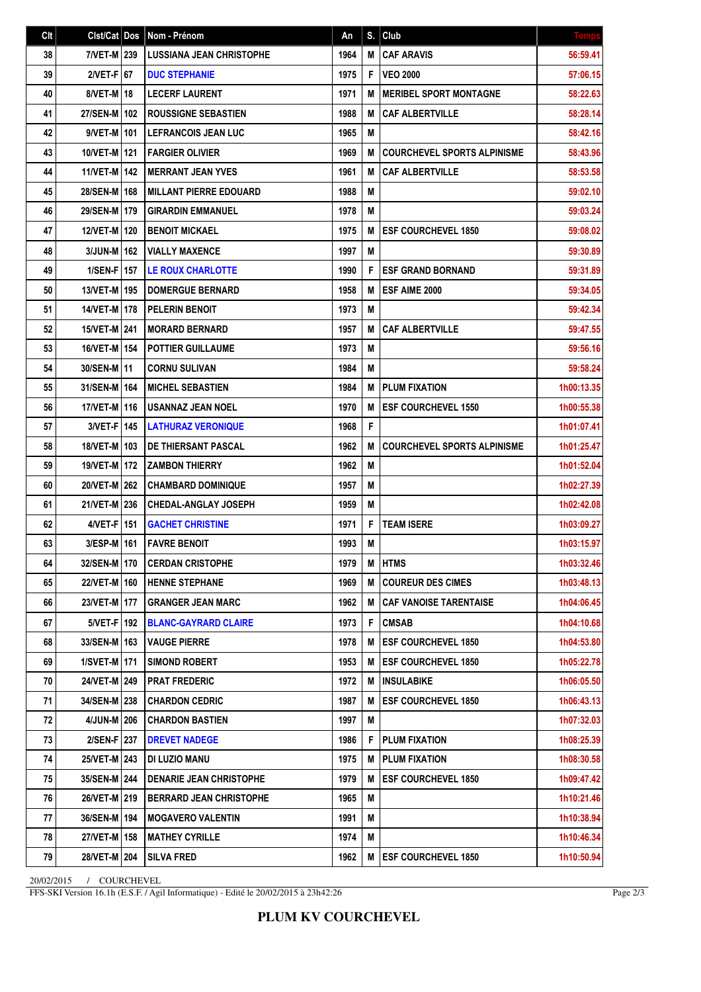| Clt | Cist/Cat Dos   | Nom - Prénom                    | An   | S. | Club                               | <b>Temps</b> |
|-----|----------------|---------------------------------|------|----|------------------------------------|--------------|
| 38  | 7/VET-M 239    | <b>LUSSIANA JEAN CHRISTOPHE</b> | 1964 | M  | <b>CAF ARAVIS</b>                  | 56:59.41     |
| 39  | $2/VET-F$ 67   | <b>DUC STEPHANIE</b>            | 1975 | F  | <b>VEO 2000</b>                    | 57:06.15     |
| 40  | 8/VET-M   18   | <b>LECERF LAURENT</b>           | 1971 | M  | <b>MERIBEL SPORT MONTAGNE</b>      | 58:22.63     |
| 41  | 27/SEN-M   102 | <b>ROUSSIGNE SEBASTIEN</b>      | 1988 | M  | <b>CAF ALBERTVILLE</b>             | 58:28.14     |
| 42  | 9/VET-M   101  | <b>LEFRANCOIS JEAN LUC</b>      | 1965 | M  |                                    | 58:42.16     |
| 43  | 10/VET-M   121 | <b>FARGIER OLIVIER</b>          | 1969 | M  | <b>COURCHEVEL SPORTS ALPINISME</b> | 58:43.96     |
| 44  | 11/VET-M   142 | <b>MERRANT JEAN YVES</b>        | 1961 | M  | <b>CAF ALBERTVILLE</b>             | 58:53.58     |
| 45  | 28/SEN-M   168 | <b>MILLANT PIERRE EDOUARD</b>   | 1988 | M  |                                    | 59:02.10     |
| 46  | 29/SEN-M 179   | <b>GIRARDIN EMMANUEL</b>        | 1978 | M  |                                    | 59:03.24     |
| 47  | 12/VET-M   120 | <b>BENOIT MICKAEL</b>           | 1975 | M  | <b>ESF COURCHEVEL 1850</b>         | 59:08.02     |
| 48  | $3/JUN-M$ 162  | <b>VIALLY MAXENCE</b>           | 1997 | M  |                                    | 59:30.89     |
| 49  | 1/SEN-F   157  | <b>LE ROUX CHARLOTTE</b>        | 1990 | F  | <b>ESF GRAND BORNAND</b>           | 59:31.89     |
| 50  | 13/VET-M 195   | <b>DOMERGUE BERNARD</b>         | 1958 | M  | ESF AIME 2000                      | 59:34.05     |
| 51  | 14/VET-M 178   | <b>PELERIN BENOIT</b>           | 1973 | M  |                                    | 59:42.34     |
| 52  | 15/VET-M 241   | <b>MORARD BERNARD</b>           | 1957 | M  | <b>CAF ALBERTVILLE</b>             | 59:47.55     |
| 53  | 16/VET-M   154 | <b>POTTIER GUILLAUME</b>        | 1973 | M  |                                    | 59:56.16     |
| 54  | 30/SEN-M   11  | <b>CORNU SULIVAN</b>            | 1984 | M  |                                    | 59:58.24     |
| 55  | 31/SEN-M   164 | <b>MICHEL SEBASTIEN</b>         | 1984 | M  | <b>PLUM FIXATION</b>               | 1h00:13.35   |
| 56  | 17/VET-M   116 | USANNAZ JEAN NOEL               | 1970 | M  | <b>ESF COURCHEVEL 1550</b>         | 1h00:55.38   |
| 57  | 3/VET-F 145    | <b>LATHURAZ VERONIQUE</b>       | 1968 | F  |                                    | 1h01:07.41   |
| 58  | 18/VET-M   103 | DE THIERSANT PASCAL             | 1962 | M  | <b>COURCHEVEL SPORTS ALPINISME</b> | 1h01:25.47   |
| 59  | 19/VET-M 172   | <b>ZAMBON THIERRY</b>           | 1962 | M  |                                    | 1h01:52.04   |
| 60  | 20/VET-M 262   | <b>CHAMBARD DOMINIQUE</b>       | 1957 | M  |                                    | 1h02:27.39   |
| 61  | 21/VET-M 236   | <b>CHEDAL-ANGLAY JOSEPH</b>     | 1959 | M  |                                    | 1h02:42.08   |
| 62  | 4/VET-F 151    | <b>GACHET CHRISTINE</b>         | 1971 | F  | <b>TEAM ISERE</b>                  | 1h03:09.27   |
| 63  | 3/ESP-M   161  | <b>FAVRE BENOIT</b>             | 1993 | M  |                                    | 1h03:15.97   |
| 64  | 32/SEN-M 170   | CERDAN CRISTOPHE                | 1979 | M  | <b>HTMS</b>                        | 1h03:32.46   |
| 65  | 22/VET-M 160   | <b>HENNE STEPHANE</b>           | 1969 | M  | <b>COUREUR DES CIMES</b>           | 1h03:48.13   |
| 66  | 23/VET-M 177   | <b>GRANGER JEAN MARC</b>        | 1962 | M  | <b>CAF VANOISE TARENTAISE</b>      | 1h04:06.45   |
| 67  | 5/VET-F 192    | <b>BLANC-GAYRARD CLAIRE</b>     | 1973 | F  | <b>CMSAB</b>                       | 1h04:10.68   |
| 68  | 33/SEN-M   163 | <b>VAUGE PIERRE</b>             | 1978 | M  | <b>ESF COURCHEVEL 1850</b>         | 1h04:53.80   |
| 69  | 1/SVET-M   171 | <b>SIMOND ROBERT</b>            | 1953 | M  | <b>ESF COURCHEVEL 1850</b>         | 1h05:22.78   |
| 70  | 24/VET-M 249   | <b>PRAT FREDERIC</b>            | 1972 | M  | <b>INSULABIKE</b>                  | 1h06:05.50   |
| 71  | 34/SEN-M 238   | <b>CHARDON CEDRIC</b>           | 1987 | M  | <b>ESF COURCHEVEL 1850</b>         | 1h06:43.13   |
| 72  | 4/JUN-M 206    | <b>CHARDON BASTIEN</b>          | 1997 | M  |                                    | 1h07:32.03   |
| 73  | 2/SEN-F 237    | <b>DREVET NADEGE</b>            | 1986 | F  | <b>PLUM FIXATION</b>               | 1h08:25.39   |
| 74  | 25/VET-M 243   | <b>DI LUZIO MANU</b>            | 1975 | M  | <b>PLUM FIXATION</b>               | 1h08:30.58   |
| 75  | 35/SEN-M 244   | DENARIE JEAN CHRISTOPHE         | 1979 | M  | <b>ESF COURCHEVEL 1850</b>         | 1h09:47.42   |
| 76  | 26/VET-M 219   | <b>BERRARD JEAN CHRISTOPHE</b>  | 1965 | M  |                                    | 1h10:21.46   |
| 77  | 36/SEN-M   194 | <b>MOGAVERO VALENTIN</b>        | 1991 | M  |                                    | 1h10:38.94   |
| 78  | 27/VET-M 158   | <b>MATHEY CYRILLE</b>           | 1974 | M  |                                    | 1h10:46.34   |
| 79  | 28/VET-M 204   | <b>SILVA FRED</b>               | 1962 | M  | <b>IESF COURCHEVEL 1850</b>        | 1h10:50.94   |

20/02/2015 / COURCHEVEL

FFS-SKI Version 16.1h (E.S.F. / Agil Informatique) - Edité le 20/02/2015 à 23h42:26